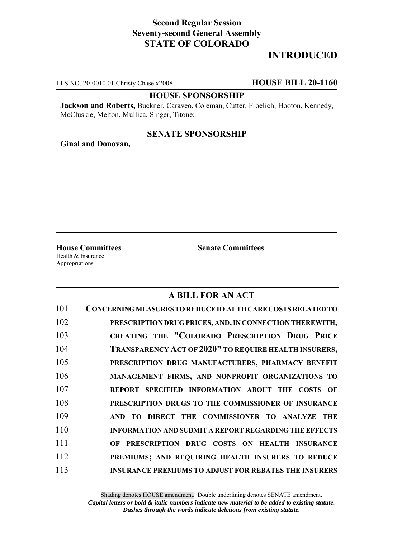# **Second Regular Session Seventy-second General Assembly STATE OF COLORADO**

# **INTRODUCED**

LLS NO. 20-0010.01 Christy Chase x2008 **HOUSE BILL 20-1160**

### **HOUSE SPONSORSHIP**

**Jackson and Roberts,** Buckner, Caraveo, Coleman, Cutter, Froelich, Hooton, Kennedy, McCluskie, Melton, Mullica, Singer, Titone;

## **SENATE SPONSORSHIP**

**Ginal and Donovan,**

Health & Insurance Appropriations

**House Committees Senate Committees**

## **A BILL FOR AN ACT**

| 101 | CONCERNING MEASURES TO REDUCE HEALTH CARE COSTS RELATED TO   |
|-----|--------------------------------------------------------------|
| 102 | PRESCRIPTION DRUG PRICES, AND, IN CONNECTION THEREWITH,      |
| 103 | CREATING THE "COLORADO PRESCRIPTION DRUG PRICE               |
| 104 | <b>TRANSPARENCY ACT OF 2020" TO REQUIRE HEALTH INSURERS,</b> |
| 105 | PRESCRIPTION DRUG MANUFACTURERS, PHARMACY BENEFIT            |
| 106 | MANAGEMENT FIRMS, AND NONPROFIT ORGANIZATIONS TO             |
| 107 | REPORT SPECIFIED INFORMATION ABOUT THE COSTS OF              |
| 108 | PRESCRIPTION DRUGS TO THE COMMISSIONER OF INSURANCE          |
| 109 | AND TO DIRECT THE COMMISSIONER TO ANALYZE THE                |
| 110 | <b>INFORMATION AND SUBMIT A REPORT REGARDING THE EFFECTS</b> |
| 111 | OF PRESCRIPTION DRUG COSTS ON HEALTH INSURANCE               |
| 112 | PREMIUMS; AND REOUIRING HEALTH INSURERS TO REDUCE            |
| 113 | <b>INSURANCE PREMIUMS TO ADJUST FOR REBATES THE INSURERS</b> |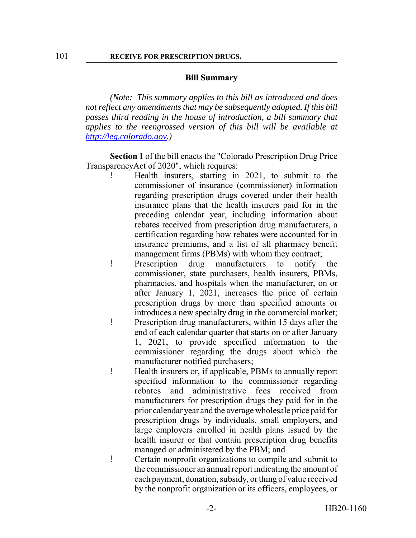#### **Bill Summary**

*(Note: This summary applies to this bill as introduced and does not reflect any amendments that may be subsequently adopted. If this bill passes third reading in the house of introduction, a bill summary that applies to the reengrossed version of this bill will be available at http://leg.colorado.gov.)*

**Section 1** of the bill enacts the "Colorado Prescription Drug Price TransparencyAct of 2020", which requires:

- ! Health insurers, starting in 2021, to submit to the commissioner of insurance (commissioner) information regarding prescription drugs covered under their health insurance plans that the health insurers paid for in the preceding calendar year, including information about rebates received from prescription drug manufacturers, a certification regarding how rebates were accounted for in insurance premiums, and a list of all pharmacy benefit management firms (PBMs) with whom they contract;
- ! Prescription drug manufacturers to notify the commissioner, state purchasers, health insurers, PBMs, pharmacies, and hospitals when the manufacturer, on or after January 1, 2021, increases the price of certain prescription drugs by more than specified amounts or introduces a new specialty drug in the commercial market; ! Prescription drug manufacturers, within 15 days after the end of each calendar quarter that starts on or after January 1, 2021, to provide specified information to the commissioner regarding the drugs about which the manufacturer notified purchasers;
- ! Health insurers or, if applicable, PBMs to annually report specified information to the commissioner regarding rebates and administrative fees received from manufacturers for prescription drugs they paid for in the prior calendar year and the average wholesale price paid for prescription drugs by individuals, small employers, and large employers enrolled in health plans issued by the health insurer or that contain prescription drug benefits managed or administered by the PBM; and
- ! Certain nonprofit organizations to compile and submit to the commissioner an annual report indicating the amount of each payment, donation, subsidy, or thing of value received by the nonprofit organization or its officers, employees, or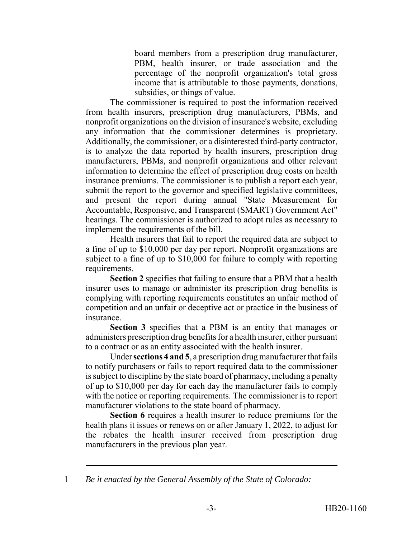board members from a prescription drug manufacturer, PBM, health insurer, or trade association and the percentage of the nonprofit organization's total gross income that is attributable to those payments, donations, subsidies, or things of value.

The commissioner is required to post the information received from health insurers, prescription drug manufacturers, PBMs, and nonprofit organizations on the division of insurance's website, excluding any information that the commissioner determines is proprietary. Additionally, the commissioner, or a disinterested third-party contractor, is to analyze the data reported by health insurers, prescription drug manufacturers, PBMs, and nonprofit organizations and other relevant information to determine the effect of prescription drug costs on health insurance premiums. The commissioner is to publish a report each year, submit the report to the governor and specified legislative committees, and present the report during annual "State Measurement for Accountable, Responsive, and Transparent (SMART) Government Act" hearings. The commissioner is authorized to adopt rules as necessary to implement the requirements of the bill.

Health insurers that fail to report the required data are subject to a fine of up to \$10,000 per day per report. Nonprofit organizations are subject to a fine of up to \$10,000 for failure to comply with reporting requirements.

**Section 2** specifies that failing to ensure that a PBM that a health insurer uses to manage or administer its prescription drug benefits is complying with reporting requirements constitutes an unfair method of competition and an unfair or deceptive act or practice in the business of insurance.

**Section 3** specifies that a PBM is an entity that manages or administers prescription drug benefits for a health insurer, either pursuant to a contract or as an entity associated with the health insurer.

Under **sections 4 and 5**, a prescription drug manufacturer that fails to notify purchasers or fails to report required data to the commissioner is subject to discipline by the state board of pharmacy, including a penalty of up to \$10,000 per day for each day the manufacturer fails to comply with the notice or reporting requirements. The commissioner is to report manufacturer violations to the state board of pharmacy.

**Section 6** requires a health insurer to reduce premiums for the health plans it issues or renews on or after January 1, 2022, to adjust for the rebates the health insurer received from prescription drug manufacturers in the previous plan year.

1 *Be it enacted by the General Assembly of the State of Colorado:*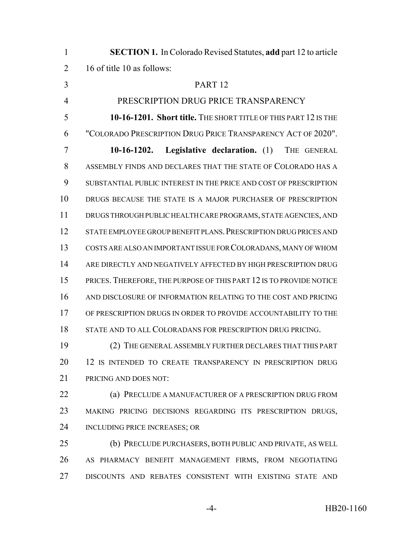| $\mathbf{1}$   | <b>SECTION 1.</b> In Colorado Revised Statutes, add part 12 to article |
|----------------|------------------------------------------------------------------------|
| $\overline{2}$ | 16 of title 10 as follows:                                             |
| 3              | PART <sub>12</sub>                                                     |
| $\overline{4}$ | PRESCRIPTION DRUG PRICE TRANSPARENCY                                   |
| 5              | 10-16-1201. Short title. THE SHORT TITLE OF THIS PART 12 IS THE        |
| 6              | "COLORADO PRESCRIPTION DRUG PRICE TRANSPARENCY ACT OF 2020".           |
| 7              | <b>Legislative declaration.</b> (1)<br>THE GENERAL<br>$10-16-1202.$    |
| 8              | ASSEMBLY FINDS AND DECLARES THAT THE STATE OF COLORADO HAS A           |
| 9              | SUBSTANTIAL PUBLIC INTEREST IN THE PRICE AND COST OF PRESCRIPTION      |
| 10             | DRUGS BECAUSE THE STATE IS A MAJOR PURCHASER OF PRESCRIPTION           |
| 11             | DRUGS THROUGH PUBLIC HEALTH CARE PROGRAMS, STATE AGENCIES, AND         |
| 12             | STATE EMPLOYEE GROUP BENEFIT PLANS. PRESCRIPTION DRUG PRICES AND       |
| 13             | COSTS ARE ALSO AN IMPORTANT ISSUE FOR COLORADANS, MANY OF WHOM         |
| 14             | ARE DIRECTLY AND NEGATIVELY AFFECTED BY HIGH PRESCRIPTION DRUG         |
| 15             | PRICES. THEREFORE, THE PURPOSE OF THIS PART 12 IS TO PROVIDE NOTICE    |
| 16             | AND DISCLOSURE OF INFORMATION RELATING TO THE COST AND PRICING         |
| 17             | OF PRESCRIPTION DRUGS IN ORDER TO PROVIDE ACCOUNTABILITY TO THE        |
| 18             | STATE AND TO ALL COLORADANS FOR PRESCRIPTION DRUG PRICING.             |
| 19             | (2) THE GENERAL ASSEMBLY FURTHER DECLARES THAT THIS PART               |
| 20             | 12 IS INTENDED TO CREATE TRANSPARENCY IN PRESCRIPTION DRUG             |
| 21             | PRICING AND DOES NOT:                                                  |
| 22             | (a) PRECLUDE A MANUFACTURER OF A PRESCRIPTION DRUG FROM                |
| 23             | MAKING PRICING DECISIONS REGARDING ITS PRESCRIPTION DRUGS,             |
| 24             | INCLUDING PRICE INCREASES; OR                                          |
| 25             | (b) PRECLUDE PURCHASERS, BOTH PUBLIC AND PRIVATE, AS WELL              |
| 26             | AS PHARMACY BENEFIT MANAGEMENT FIRMS, FROM NEGOTIATING                 |
| 27             | DISCOUNTS AND REBATES CONSISTENT WITH EXISTING STATE AND               |
|                |                                                                        |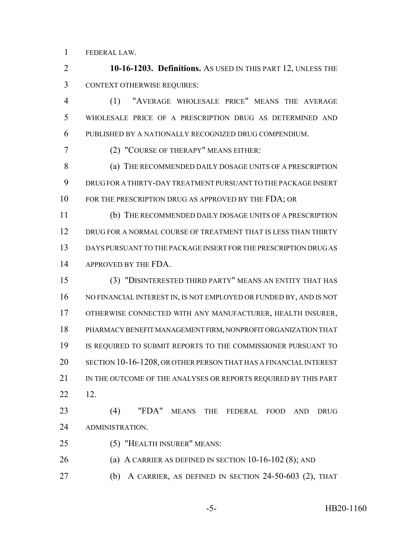FEDERAL LAW.

 **10-16-1203. Definitions.** AS USED IN THIS PART 12, UNLESS THE CONTEXT OTHERWISE REQUIRES:

 (1) "AVERAGE WHOLESALE PRICE" MEANS THE AVERAGE WHOLESALE PRICE OF A PRESCRIPTION DRUG AS DETERMINED AND PUBLISHED BY A NATIONALLY RECOGNIZED DRUG COMPENDIUM.

(2) "COURSE OF THERAPY" MEANS EITHER:

8 (a) THE RECOMMENDED DAILY DOSAGE UNITS OF A PRESCRIPTION DRUG FOR A THIRTY-DAY TREATMENT PURSUANT TO THE PACKAGE INSERT 10 FOR THE PRESCRIPTION DRUG AS APPROVED BY THE FDA; OR

 (b) THE RECOMMENDED DAILY DOSAGE UNITS OF A PRESCRIPTION DRUG FOR A NORMAL COURSE OF TREATMENT THAT IS LESS THAN THIRTY DAYS PURSUANT TO THE PACKAGE INSERT FOR THE PRESCRIPTION DRUG AS 14 APPROVED BY THE FDA.

 (3) "DISINTERESTED THIRD PARTY" MEANS AN ENTITY THAT HAS 16 NO FINANCIAL INTEREST IN, IS NOT EMPLOYED OR FUNDED BY, AND IS NOT OTHERWISE CONNECTED WITH ANY MANUFACTURER, HEALTH INSURER, PHARMACY BENEFIT MANAGEMENT FIRM, NONPROFIT ORGANIZATION THAT IS REQUIRED TO SUBMIT REPORTS TO THE COMMISSIONER PURSUANT TO SECTION 10-16-1208, OR OTHER PERSON THAT HAS A FINANCIAL INTEREST 21 IN THE OUTCOME OF THE ANALYSES OR REPORTS REQUIRED BY THIS PART 12.

 (4) "FDA" MEANS THE FEDERAL FOOD AND DRUG ADMINISTRATION.

- (5) "HEALTH INSURER" MEANS:
- (a) A CARRIER AS DEFINED IN SECTION 10-16-102 (8); AND
- (b) A CARRIER, AS DEFINED IN SECTION 24-50-603 (2), THAT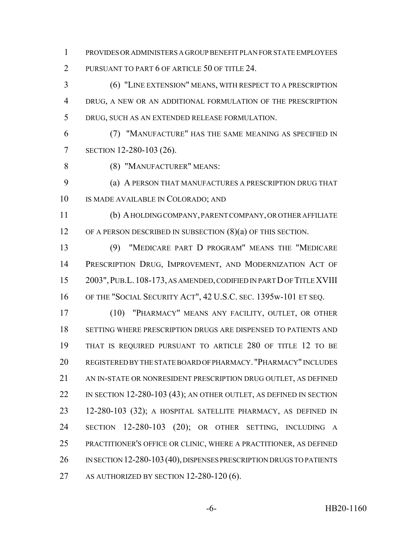PROVIDES OR ADMINISTERS A GROUP BENEFIT PLAN FOR STATE EMPLOYEES PURSUANT TO PART 6 OF ARTICLE 50 OF TITLE 24.

 (6) "LINE EXTENSION" MEANS, WITH RESPECT TO A PRESCRIPTION DRUG, A NEW OR AN ADDITIONAL FORMULATION OF THE PRESCRIPTION DRUG, SUCH AS AN EXTENDED RELEASE FORMULATION.

 (7) "MANUFACTURE" HAS THE SAME MEANING AS SPECIFIED IN SECTION 12-280-103 (26).

(8) "MANUFACTURER" MEANS:

 (a) A PERSON THAT MANUFACTURES A PRESCRIPTION DRUG THAT IS MADE AVAILABLE IN COLORADO; AND

 (b) A HOLDING COMPANY, PARENT COMPANY, OR OTHER AFFILIATE 12 OF A PERSON DESCRIBED IN SUBSECTION (8)(a) OF THIS SECTION.

 (9) "MEDICARE PART D PROGRAM" MEANS THE "MEDICARE PRESCRIPTION DRUG, IMPROVEMENT, AND MODERNIZATION ACT OF 2003",PUB.L.108-173, AS AMENDED, CODIFIED IN PART D OF TITLE XVIII OF THE "SOCIAL SECURITY ACT", 42 U.S.C. SEC. 1395w-101 ET SEQ.

 (10) "PHARMACY" MEANS ANY FACILITY, OUTLET, OR OTHER SETTING WHERE PRESCRIPTION DRUGS ARE DISPENSED TO PATIENTS AND THAT IS REQUIRED PURSUANT TO ARTICLE 280 OF TITLE 12 TO BE REGISTERED BY THE STATE BOARD OF PHARMACY. "PHARMACY" INCLUDES AN IN-STATE OR NONRESIDENT PRESCRIPTION DRUG OUTLET, AS DEFINED 22 IN SECTION 12-280-103 (43); AN OTHER OUTLET, AS DEFINED IN SECTION 12-280-103 (32); A HOSPITAL SATELLITE PHARMACY, AS DEFINED IN SECTION 12-280-103 (20); OR OTHER SETTING, INCLUDING A PRACTITIONER'S OFFICE OR CLINIC, WHERE A PRACTITIONER, AS DEFINED 26 IN SECTION 12-280-103 (40), DISPENSES PRESCRIPTION DRUGS TO PATIENTS 27 AS AUTHORIZED BY SECTION 12-280-120 (6).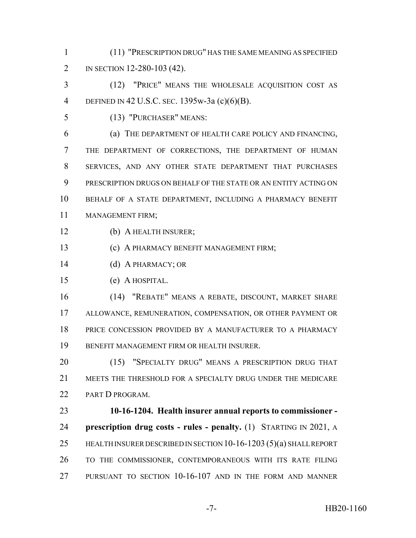(11) "PRESCRIPTION DRUG" HAS THE SAME MEANING AS SPECIFIED IN SECTION 12-280-103 (42).

 (12) "PRICE" MEANS THE WHOLESALE ACQUISITION COST AS DEFINED IN 42 U.S.C. SEC. 1395w-3a (c)(6)(B).

(13) "PURCHASER" MEANS:

 (a) THE DEPARTMENT OF HEALTH CARE POLICY AND FINANCING, THE DEPARTMENT OF CORRECTIONS, THE DEPARTMENT OF HUMAN SERVICES, AND ANY OTHER STATE DEPARTMENT THAT PURCHASES PRESCRIPTION DRUGS ON BEHALF OF THE STATE OR AN ENTITY ACTING ON BEHALF OF A STATE DEPARTMENT, INCLUDING A PHARMACY BENEFIT MANAGEMENT FIRM;

(b) A HEALTH INSURER;

(c) A PHARMACY BENEFIT MANAGEMENT FIRM;

(d) A PHARMACY; OR

(e) A HOSPITAL.

 (14) "REBATE" MEANS A REBATE, DISCOUNT, MARKET SHARE ALLOWANCE, REMUNERATION, COMPENSATION, OR OTHER PAYMENT OR PRICE CONCESSION PROVIDED BY A MANUFACTURER TO A PHARMACY BENEFIT MANAGEMENT FIRM OR HEALTH INSURER.

20 (15) "SPECIALTY DRUG" MEANS A PRESCRIPTION DRUG THAT MEETS THE THRESHOLD FOR A SPECIALTY DRUG UNDER THE MEDICARE PART D PROGRAM.

 **10-16-1204. Health insurer annual reports to commissioner - prescription drug costs - rules - penalty.** (1) STARTING IN 2021, A HEALTH INSURER DESCRIBED IN SECTION 10-16-1203 (5)(a) SHALL REPORT TO THE COMMISSIONER, CONTEMPORANEOUS WITH ITS RATE FILING PURSUANT TO SECTION 10-16-107 AND IN THE FORM AND MANNER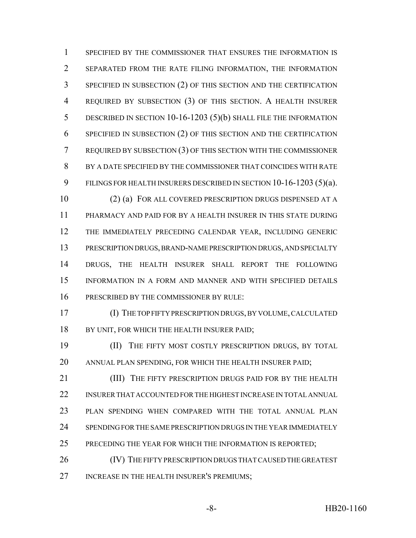SPECIFIED BY THE COMMISSIONER THAT ENSURES THE INFORMATION IS SEPARATED FROM THE RATE FILING INFORMATION, THE INFORMATION SPECIFIED IN SUBSECTION (2) OF THIS SECTION AND THE CERTIFICATION REQUIRED BY SUBSECTION (3) OF THIS SECTION. A HEALTH INSURER DESCRIBED IN SECTION 10-16-1203 (5)(b) SHALL FILE THE INFORMATION SPECIFIED IN SUBSECTION (2) OF THIS SECTION AND THE CERTIFICATION REQUIRED BY SUBSECTION (3) OF THIS SECTION WITH THE COMMISSIONER BY A DATE SPECIFIED BY THE COMMISSIONER THAT COINCIDES WITH RATE FILINGS FOR HEALTH INSURERS DESCRIBED IN SECTION 10-16-1203 (5)(a).

 (2) (a) FOR ALL COVERED PRESCRIPTION DRUGS DISPENSED AT A PHARMACY AND PAID FOR BY A HEALTH INSURER IN THIS STATE DURING THE IMMEDIATELY PRECEDING CALENDAR YEAR, INCLUDING GENERIC PRESCRIPTION DRUGS, BRAND-NAME PRESCRIPTION DRUGS, AND SPECIALTY DRUGS, THE HEALTH INSURER SHALL REPORT THE FOLLOWING INFORMATION IN A FORM AND MANNER AND WITH SPECIFIED DETAILS PRESCRIBED BY THE COMMISSIONER BY RULE:

 (I) THE TOP FIFTY PRESCRIPTION DRUGS, BY VOLUME, CALCULATED 18 BY UNIT, FOR WHICH THE HEALTH INSURER PAID;

 (II) THE FIFTY MOST COSTLY PRESCRIPTION DRUGS, BY TOTAL ANNUAL PLAN SPENDING, FOR WHICH THE HEALTH INSURER PAID;

**(III)** THE FIFTY PRESCRIPTION DRUGS PAID FOR BY THE HEALTH INSURER THAT ACCOUNTED FOR THE HIGHEST INCREASE IN TOTAL ANNUAL PLAN SPENDING WHEN COMPARED WITH THE TOTAL ANNUAL PLAN SPENDING FOR THE SAME PRESCRIPTION DRUGS IN THE YEAR IMMEDIATELY PRECEDING THE YEAR FOR WHICH THE INFORMATION IS REPORTED;

 (IV) THE FIFTY PRESCRIPTION DRUGS THAT CAUSED THE GREATEST INCREASE IN THE HEALTH INSURER'S PREMIUMS;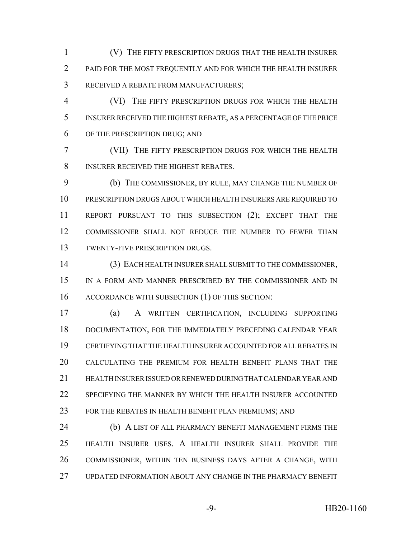(V) THE FIFTY PRESCRIPTION DRUGS THAT THE HEALTH INSURER PAID FOR THE MOST FREQUENTLY AND FOR WHICH THE HEALTH INSURER RECEIVED A REBATE FROM MANUFACTURERS;

 (VI) THE FIFTY PRESCRIPTION DRUGS FOR WHICH THE HEALTH INSURER RECEIVED THE HIGHEST REBATE, AS A PERCENTAGE OF THE PRICE OF THE PRESCRIPTION DRUG; AND

 (VII) THE FIFTY PRESCRIPTION DRUGS FOR WHICH THE HEALTH INSURER RECEIVED THE HIGHEST REBATES.

 (b) THE COMMISSIONER, BY RULE, MAY CHANGE THE NUMBER OF PRESCRIPTION DRUGS ABOUT WHICH HEALTH INSURERS ARE REQUIRED TO REPORT PURSUANT TO THIS SUBSECTION (2); EXCEPT THAT THE COMMISSIONER SHALL NOT REDUCE THE NUMBER TO FEWER THAN TWENTY-FIVE PRESCRIPTION DRUGS.

 (3) EACH HEALTH INSURER SHALL SUBMIT TO THE COMMISSIONER, IN A FORM AND MANNER PRESCRIBED BY THE COMMISSIONER AND IN 16 ACCORDANCE WITH SUBSECTION (1) OF THIS SECTION:

 (a) A WRITTEN CERTIFICATION, INCLUDING SUPPORTING DOCUMENTATION, FOR THE IMMEDIATELY PRECEDING CALENDAR YEAR CERTIFYING THAT THE HEALTH INSURER ACCOUNTED FOR ALL REBATES IN CALCULATING THE PREMIUM FOR HEALTH BENEFIT PLANS THAT THE HEALTH INSURER ISSUED OR RENEWED DURING THAT CALENDAR YEAR AND SPECIFYING THE MANNER BY WHICH THE HEALTH INSURER ACCOUNTED 23 FOR THE REBATES IN HEALTH BENEFIT PLAN PREMIUMS; AND

**(b) A LIST OF ALL PHARMACY BENEFIT MANAGEMENT FIRMS THE**  HEALTH INSURER USES. A HEALTH INSURER SHALL PROVIDE THE COMMISSIONER, WITHIN TEN BUSINESS DAYS AFTER A CHANGE, WITH UPDATED INFORMATION ABOUT ANY CHANGE IN THE PHARMACY BENEFIT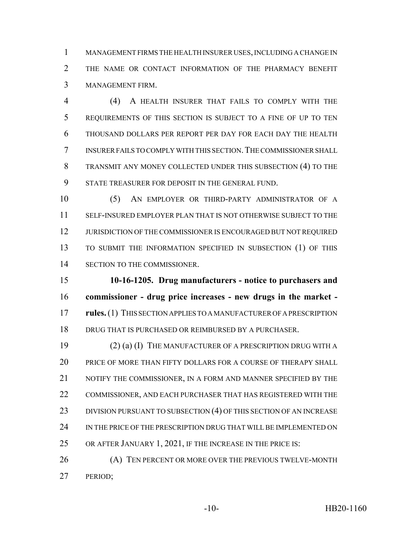MANAGEMENT FIRMS THE HEALTH INSURER USES, INCLUDING A CHANGE IN THE NAME OR CONTACT INFORMATION OF THE PHARMACY BENEFIT MANAGEMENT FIRM.

 (4) A HEALTH INSURER THAT FAILS TO COMPLY WITH THE REQUIREMENTS OF THIS SECTION IS SUBJECT TO A FINE OF UP TO TEN THOUSAND DOLLARS PER REPORT PER DAY FOR EACH DAY THE HEALTH INSURER FAILS TO COMPLY WITH THIS SECTION.THE COMMISSIONER SHALL TRANSMIT ANY MONEY COLLECTED UNDER THIS SUBSECTION (4) TO THE STATE TREASURER FOR DEPOSIT IN THE GENERAL FUND.

 (5) AN EMPLOYER OR THIRD-PARTY ADMINISTRATOR OF A SELF-INSURED EMPLOYER PLAN THAT IS NOT OTHERWISE SUBJECT TO THE JURISDICTION OF THE COMMISSIONER IS ENCOURAGED BUT NOT REQUIRED TO SUBMIT THE INFORMATION SPECIFIED IN SUBSECTION (1) OF THIS SECTION TO THE COMMISSIONER.

 **10-16-1205. Drug manufacturers - notice to purchasers and commissioner - drug price increases - new drugs in the market - rules.** (1) THIS SECTION APPLIES TO A MANUFACTURER OF A PRESCRIPTION DRUG THAT IS PURCHASED OR REIMBURSED BY A PURCHASER.

 (2) (a) (I) THE MANUFACTURER OF A PRESCRIPTION DRUG WITH A PRICE OF MORE THAN FIFTY DOLLARS FOR A COURSE OF THERAPY SHALL 21 NOTIFY THE COMMISSIONER, IN A FORM AND MANNER SPECIFIED BY THE COMMISSIONER, AND EACH PURCHASER THAT HAS REGISTERED WITH THE 23 DIVISION PURSUANT TO SUBSECTION (4) OF THIS SECTION OF AN INCREASE IN THE PRICE OF THE PRESCRIPTION DRUG THAT WILL BE IMPLEMENTED ON 25 OR AFTER JANUARY 1, 2021, IF THE INCREASE IN THE PRICE IS:

26 (A) TEN PERCENT OR MORE OVER THE PREVIOUS TWELVE-MONTH PERIOD;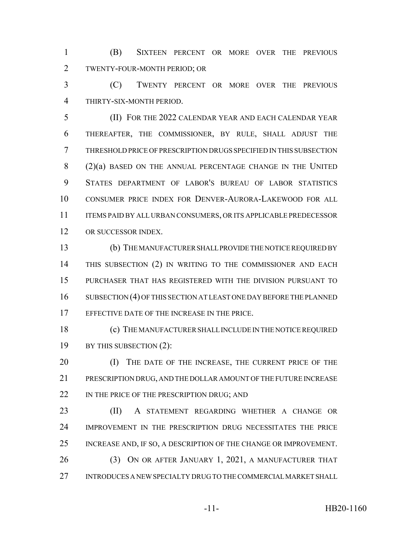(B) SIXTEEN PERCENT OR MORE OVER THE PREVIOUS TWENTY-FOUR-MONTH PERIOD; OR

 (C) TWENTY PERCENT OR MORE OVER THE PREVIOUS THIRTY-SIX-MONTH PERIOD.

 (II) FOR THE 2022 CALENDAR YEAR AND EACH CALENDAR YEAR THEREAFTER, THE COMMISSIONER, BY RULE, SHALL ADJUST THE THRESHOLD PRICE OF PRESCRIPTION DRUGS SPECIFIED IN THIS SUBSECTION 8 (2)(a) BASED ON THE ANNUAL PERCENTAGE CHANGE IN THE UNITED STATES DEPARTMENT OF LABOR'S BUREAU OF LABOR STATISTICS CONSUMER PRICE INDEX FOR DENVER-AURORA-LAKEWOOD FOR ALL ITEMS PAID BY ALL URBAN CONSUMERS, OR ITS APPLICABLE PREDECESSOR OR SUCCESSOR INDEX.

 (b) THE MANUFACTURER SHALL PROVIDE THE NOTICE REQUIRED BY THIS SUBSECTION (2) IN WRITING TO THE COMMISSIONER AND EACH PURCHASER THAT HAS REGISTERED WITH THE DIVISION PURSUANT TO 16 SUBSECTION (4) OF THIS SECTION AT LEAST ONE DAY BEFORE THE PLANNED EFFECTIVE DATE OF THE INCREASE IN THE PRICE.

 (c) THE MANUFACTURER SHALL INCLUDE IN THE NOTICE REQUIRED BY THIS SUBSECTION (2):

20 (I) THE DATE OF THE INCREASE, THE CURRENT PRICE OF THE PRESCRIPTION DRUG, AND THE DOLLAR AMOUNT OF THE FUTURE INCREASE 22 IN THE PRICE OF THE PRESCRIPTION DRUG; AND

 (II) A STATEMENT REGARDING WHETHER A CHANGE OR IMPROVEMENT IN THE PRESCRIPTION DRUG NECESSITATES THE PRICE INCREASE AND, IF SO, A DESCRIPTION OF THE CHANGE OR IMPROVEMENT. 26 (3) ON OR AFTER JANUARY 1, 2021, A MANUFACTURER THAT INTRODUCES A NEW SPECIALTY DRUG TO THE COMMERCIAL MARKET SHALL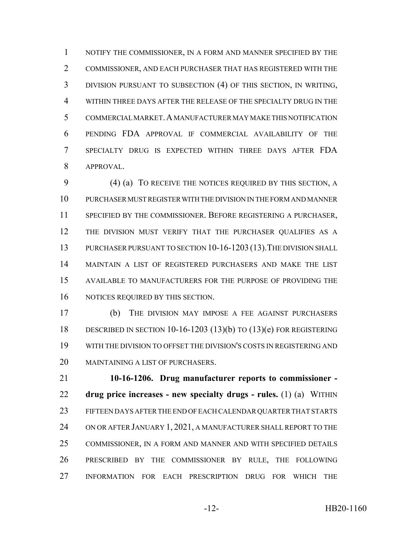NOTIFY THE COMMISSIONER, IN A FORM AND MANNER SPECIFIED BY THE COMMISSIONER, AND EACH PURCHASER THAT HAS REGISTERED WITH THE DIVISION PURSUANT TO SUBSECTION (4) OF THIS SECTION, IN WRITING, WITHIN THREE DAYS AFTER THE RELEASE OF THE SPECIALTY DRUG IN THE COMMERCIAL MARKET.A MANUFACTURER MAY MAKE THIS NOTIFICATION PENDING FDA APPROVAL IF COMMERCIAL AVAILABILITY OF THE SPECIALTY DRUG IS EXPECTED WITHIN THREE DAYS AFTER FDA APPROVAL.

 (4) (a) TO RECEIVE THE NOTICES REQUIRED BY THIS SECTION, A PURCHASER MUST REGISTER WITH THE DIVISION IN THE FORM AND MANNER SPECIFIED BY THE COMMISSIONER. BEFORE REGISTERING A PURCHASER, THE DIVISION MUST VERIFY THAT THE PURCHASER QUALIFIES AS A 13 PURCHASER PURSUANT TO SECTION 10-16-1203 (13). THE DIVISION SHALL MAINTAIN A LIST OF REGISTERED PURCHASERS AND MAKE THE LIST AVAILABLE TO MANUFACTURERS FOR THE PURPOSE OF PROVIDING THE NOTICES REQUIRED BY THIS SECTION.

 (b) THE DIVISION MAY IMPOSE A FEE AGAINST PURCHASERS DESCRIBED IN SECTION 10-16-1203 (13)(b) TO (13)(e) FOR REGISTERING WITH THE DIVISION TO OFFSET THE DIVISION'S COSTS IN REGISTERING AND 20 MAINTAINING A LIST OF PURCHASERS.

 **10-16-1206. Drug manufacturer reports to commissioner - drug price increases - new specialty drugs - rules.** (1) (a) WITHIN FIFTEEN DAYS AFTER THE END OF EACH CALENDAR QUARTER THAT STARTS 24 ON OR AFTER JANUARY 1, 2021, A MANUFACTURER SHALL REPORT TO THE COMMISSIONER, IN A FORM AND MANNER AND WITH SPECIFIED DETAILS PRESCRIBED BY THE COMMISSIONER BY RULE, THE FOLLOWING INFORMATION FOR EACH PRESCRIPTION DRUG FOR WHICH THE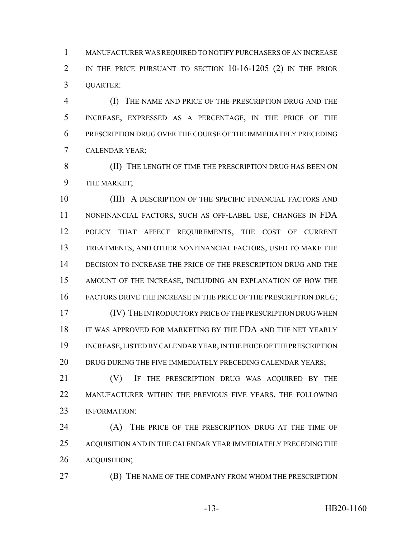MANUFACTURER WAS REQUIRED TO NOTIFY PURCHASERS OF AN INCREASE IN THE PRICE PURSUANT TO SECTION 10-16-1205 (2) IN THE PRIOR QUARTER:

 (I) THE NAME AND PRICE OF THE PRESCRIPTION DRUG AND THE INCREASE, EXPRESSED AS A PERCENTAGE, IN THE PRICE OF THE PRESCRIPTION DRUG OVER THE COURSE OF THE IMMEDIATELY PRECEDING CALENDAR YEAR;

 (II) THE LENGTH OF TIME THE PRESCRIPTION DRUG HAS BEEN ON THE MARKET;

10 (III) A DESCRIPTION OF THE SPECIFIC FINANCIAL FACTORS AND NONFINANCIAL FACTORS, SUCH AS OFF-LABEL USE, CHANGES IN FDA POLICY THAT AFFECT REQUIREMENTS, THE COST OF CURRENT TREATMENTS, AND OTHER NONFINANCIAL FACTORS, USED TO MAKE THE DECISION TO INCREASE THE PRICE OF THE PRESCRIPTION DRUG AND THE AMOUNT OF THE INCREASE, INCLUDING AN EXPLANATION OF HOW THE 16 FACTORS DRIVE THE INCREASE IN THE PRICE OF THE PRESCRIPTION DRUG; (IV) THE INTRODUCTORY PRICE OF THE PRESCRIPTION DRUG WHEN IT WAS APPROVED FOR MARKETING BY THE FDA AND THE NET YEARLY

 INCREASE, LISTED BY CALENDAR YEAR, IN THE PRICE OF THE PRESCRIPTION 20 DRUG DURING THE FIVE IMMEDIATELY PRECEDING CALENDAR YEARS;

 (V) IF THE PRESCRIPTION DRUG WAS ACQUIRED BY THE MANUFACTURER WITHIN THE PREVIOUS FIVE YEARS, THE FOLLOWING 23 INFORMATION:

 (A) THE PRICE OF THE PRESCRIPTION DRUG AT THE TIME OF ACQUISITION AND IN THE CALENDAR YEAR IMMEDIATELY PRECEDING THE ACQUISITION;

(B) THE NAME OF THE COMPANY FROM WHOM THE PRESCRIPTION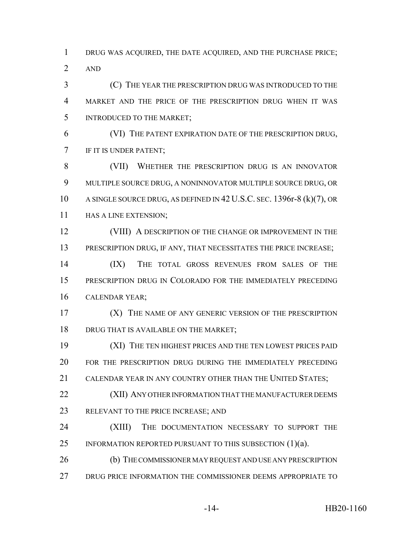DRUG WAS ACQUIRED, THE DATE ACQUIRED, AND THE PURCHASE PRICE; AND

 (C) THE YEAR THE PRESCRIPTION DRUG WAS INTRODUCED TO THE MARKET AND THE PRICE OF THE PRESCRIPTION DRUG WHEN IT WAS INTRODUCED TO THE MARKET;

 (VI) THE PATENT EXPIRATION DATE OF THE PRESCRIPTION DRUG, IF IT IS UNDER PATENT;

 (VII) WHETHER THE PRESCRIPTION DRUG IS AN INNOVATOR MULTIPLE SOURCE DRUG, A NONINNOVATOR MULTIPLE SOURCE DRUG, OR A SINGLE SOURCE DRUG, AS DEFINED IN 42 U.S.C. SEC. 1396r-8 (k)(7), OR 11 HAS A LINE EXTENSION;

12 (VIII) A DESCRIPTION OF THE CHANGE OR IMPROVEMENT IN THE 13 PRESCRIPTION DRUG, IF ANY, THAT NECESSITATES THE PRICE INCREASE;

 (IX) THE TOTAL GROSS REVENUES FROM SALES OF THE PRESCRIPTION DRUG IN COLORADO FOR THE IMMEDIATELY PRECEDING CALENDAR YEAR;

 (X) THE NAME OF ANY GENERIC VERSION OF THE PRESCRIPTION 18 DRUG THAT IS AVAILABLE ON THE MARKET;

 (XI) THE TEN HIGHEST PRICES AND THE TEN LOWEST PRICES PAID FOR THE PRESCRIPTION DRUG DURING THE IMMEDIATELY PRECEDING CALENDAR YEAR IN ANY COUNTRY OTHER THAN THE UNITED STATES;

**(XII) ANY OTHER INFORMATION THAT THE MANUFACTURER DEEMS** RELEVANT TO THE PRICE INCREASE; AND

 (XIII) THE DOCUMENTATION NECESSARY TO SUPPORT THE 25 INFORMATION REPORTED PURSUANT TO THIS SUBSECTION  $(1)(a)$ .

26 (b) THE COMMISSIONER MAY REQUEST AND USE ANY PRESCRIPTION DRUG PRICE INFORMATION THE COMMISSIONER DEEMS APPROPRIATE TO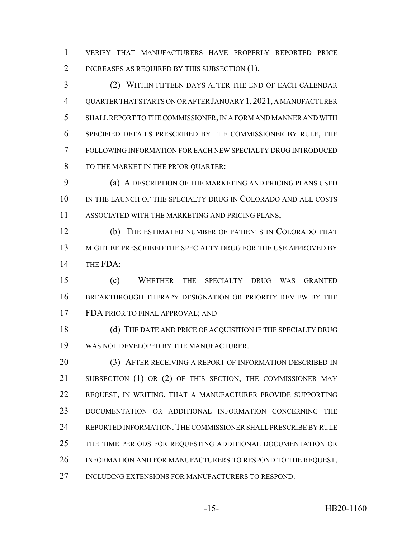VERIFY THAT MANUFACTURERS HAVE PROPERLY REPORTED PRICE 2 INCREASES AS REQUIRED BY THIS SUBSECTION (1).

 (2) WITHIN FIFTEEN DAYS AFTER THE END OF EACH CALENDAR QUARTER THAT STARTS ON OR AFTER JANUARY 1,2021, A MANUFACTURER SHALL REPORT TO THE COMMISSIONER, IN A FORM AND MANNER AND WITH SPECIFIED DETAILS PRESCRIBED BY THE COMMISSIONER BY RULE, THE FOLLOWING INFORMATION FOR EACH NEW SPECIALTY DRUG INTRODUCED TO THE MARKET IN THE PRIOR QUARTER:

 (a) A DESCRIPTION OF THE MARKETING AND PRICING PLANS USED IN THE LAUNCH OF THE SPECIALTY DRUG IN COLORADO AND ALL COSTS ASSOCIATED WITH THE MARKETING AND PRICING PLANS;

 (b) THE ESTIMATED NUMBER OF PATIENTS IN COLORADO THAT MIGHT BE PRESCRIBED THE SPECIALTY DRUG FOR THE USE APPROVED BY 14 THE FDA;

 (c) WHETHER THE SPECIALTY DRUG WAS GRANTED BREAKTHROUGH THERAPY DESIGNATION OR PRIORITY REVIEW BY THE FDA PRIOR TO FINAL APPROVAL; AND

18 (d) THE DATE AND PRICE OF ACQUISITION IF THE SPECIALTY DRUG WAS NOT DEVELOPED BY THE MANUFACTURER.

20 (3) AFTER RECEIVING A REPORT OF INFORMATION DESCRIBED IN 21 SUBSECTION (1) OR (2) OF THIS SECTION, THE COMMISSIONER MAY REQUEST, IN WRITING, THAT A MANUFACTURER PROVIDE SUPPORTING DOCUMENTATION OR ADDITIONAL INFORMATION CONCERNING THE REPORTED INFORMATION.THE COMMISSIONER SHALL PRESCRIBE BY RULE THE TIME PERIODS FOR REQUESTING ADDITIONAL DOCUMENTATION OR INFORMATION AND FOR MANUFACTURERS TO RESPOND TO THE REQUEST, INCLUDING EXTENSIONS FOR MANUFACTURERS TO RESPOND.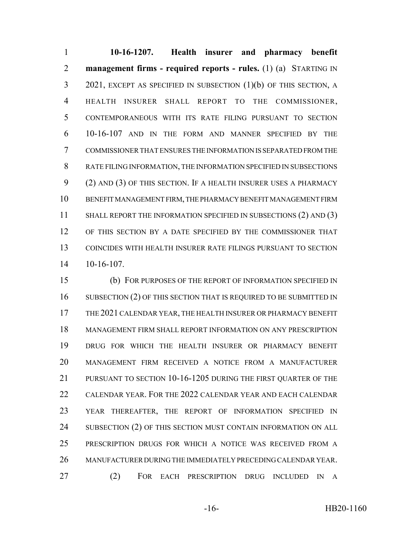**10-16-1207. Health insurer and pharmacy benefit management firms - required reports - rules.** (1) (a) STARTING IN 2021, EXCEPT AS SPECIFIED IN SUBSECTION (1)(b) OF THIS SECTION, A HEALTH INSURER SHALL REPORT TO THE COMMISSIONER, CONTEMPORANEOUS WITH ITS RATE FILING PURSUANT TO SECTION 10-16-107 AND IN THE FORM AND MANNER SPECIFIED BY THE COMMISSIONER THAT ENSURES THE INFORMATION IS SEPARATED FROM THE RATE FILING INFORMATION, THE INFORMATION SPECIFIED IN SUBSECTIONS (2) AND (3) OF THIS SECTION. IF A HEALTH INSURER USES A PHARMACY BENEFIT MANAGEMENT FIRM, THE PHARMACY BENEFIT MANAGEMENT FIRM 11 SHALL REPORT THE INFORMATION SPECIFIED IN SUBSECTIONS (2) AND (3) OF THIS SECTION BY A DATE SPECIFIED BY THE COMMISSIONER THAT COINCIDES WITH HEALTH INSURER RATE FILINGS PURSUANT TO SECTION 10-16-107.

 (b) FOR PURPOSES OF THE REPORT OF INFORMATION SPECIFIED IN 16 SUBSECTION (2) OF THIS SECTION THAT IS REQUIRED TO BE SUBMITTED IN THE 2021 CALENDAR YEAR, THE HEALTH INSURER OR PHARMACY BENEFIT MANAGEMENT FIRM SHALL REPORT INFORMATION ON ANY PRESCRIPTION DRUG FOR WHICH THE HEALTH INSURER OR PHARMACY BENEFIT MANAGEMENT FIRM RECEIVED A NOTICE FROM A MANUFACTURER PURSUANT TO SECTION 10-16-1205 DURING THE FIRST QUARTER OF THE CALENDAR YEAR. FOR THE 2022 CALENDAR YEAR AND EACH CALENDAR YEAR THEREAFTER, THE REPORT OF INFORMATION SPECIFIED IN 24 SUBSECTION (2) OF THIS SECTION MUST CONTAIN INFORMATION ON ALL PRESCRIPTION DRUGS FOR WHICH A NOTICE WAS RECEIVED FROM A MANUFACTURER DURING THE IMMEDIATELY PRECEDING CALENDAR YEAR. (2) FOR EACH PRESCRIPTION DRUG INCLUDED IN A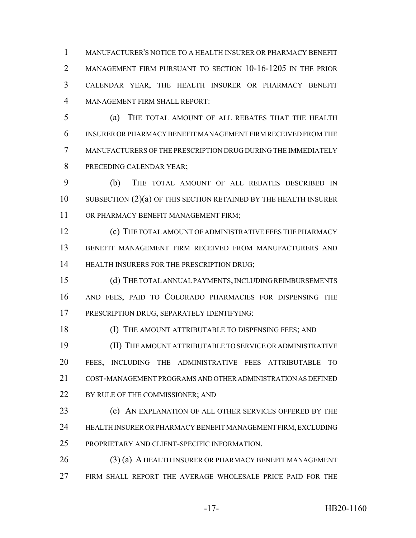MANUFACTURER'S NOTICE TO A HEALTH INSURER OR PHARMACY BENEFIT MANAGEMENT FIRM PURSUANT TO SECTION 10-16-1205 IN THE PRIOR CALENDAR YEAR, THE HEALTH INSURER OR PHARMACY BENEFIT MANAGEMENT FIRM SHALL REPORT:

 (a) THE TOTAL AMOUNT OF ALL REBATES THAT THE HEALTH INSURER OR PHARMACY BENEFIT MANAGEMENT FIRM RECEIVED FROM THE MANUFACTURERS OF THE PRESCRIPTION DRUG DURING THE IMMEDIATELY PRECEDING CALENDAR YEAR;

 (b) THE TOTAL AMOUNT OF ALL REBATES DESCRIBED IN SUBSECTION (2)(a) OF THIS SECTION RETAINED BY THE HEALTH INSURER OR PHARMACY BENEFIT MANAGEMENT FIRM;

 (c) THE TOTAL AMOUNT OF ADMINISTRATIVE FEES THE PHARMACY BENEFIT MANAGEMENT FIRM RECEIVED FROM MANUFACTURERS AND **HEALTH INSURERS FOR THE PRESCRIPTION DRUG**;

 (d) THE TOTAL ANNUAL PAYMENTS, INCLUDING REIMBURSEMENTS AND FEES, PAID TO COLORADO PHARMACIES FOR DISPENSING THE PRESCRIPTION DRUG, SEPARATELY IDENTIFYING:

18 (I) THE AMOUNT ATTRIBUTABLE TO DISPENSING FEES; AND

 (II) THE AMOUNT ATTRIBUTABLE TO SERVICE OR ADMINISTRATIVE FEES, INCLUDING THE ADMINISTRATIVE FEES ATTRIBUTABLE TO COST-MANAGEMENT PROGRAMS AND OTHER ADMINISTRATION AS DEFINED 22 BY RULE OF THE COMMISSIONER; AND

 (e) AN EXPLANATION OF ALL OTHER SERVICES OFFERED BY THE HEALTH INSURER OR PHARMACY BENEFIT MANAGEMENT FIRM, EXCLUDING PROPRIETARY AND CLIENT-SPECIFIC INFORMATION.

26 (3) (a) A HEALTH INSURER OR PHARMACY BENEFIT MANAGEMENT FIRM SHALL REPORT THE AVERAGE WHOLESALE PRICE PAID FOR THE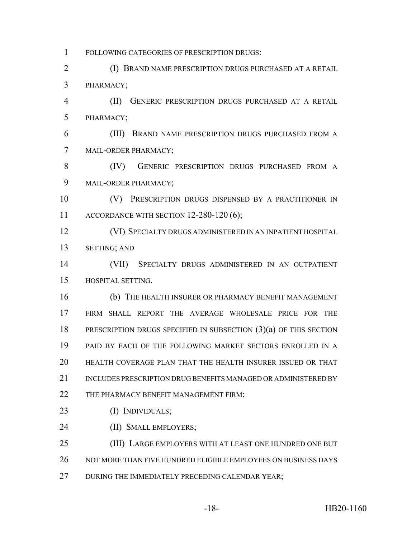FOLLOWING CATEGORIES OF PRESCRIPTION DRUGS:

 (I) BRAND NAME PRESCRIPTION DRUGS PURCHASED AT A RETAIL PHARMACY;

 (II) GENERIC PRESCRIPTION DRUGS PURCHASED AT A RETAIL PHARMACY;

 (III) BRAND NAME PRESCRIPTION DRUGS PURCHASED FROM A MAIL-ORDER PHARMACY;

 (IV) GENERIC PRESCRIPTION DRUGS PURCHASED FROM A MAIL-ORDER PHARMACY;

 (V) PRESCRIPTION DRUGS DISPENSED BY A PRACTITIONER IN ACCORDANCE WITH SECTION 12-280-120 (6);

 (VI) SPECIALTY DRUGS ADMINISTERED IN AN INPATIENT HOSPITAL SETTING; AND

 (VII) SPECIALTY DRUGS ADMINISTERED IN AN OUTPATIENT HOSPITAL SETTING.

 (b) THE HEALTH INSURER OR PHARMACY BENEFIT MANAGEMENT FIRM SHALL REPORT THE AVERAGE WHOLESALE PRICE FOR THE 18 PRESCRIPTION DRUGS SPECIFIED IN SUBSECTION (3)(a) OF THIS SECTION PAID BY EACH OF THE FOLLOWING MARKET SECTORS ENROLLED IN A HEALTH COVERAGE PLAN THAT THE HEALTH INSURER ISSUED OR THAT 21 INCLUDES PRESCRIPTION DRUG BENEFITS MANAGED OR ADMINISTERED BY 22 THE PHARMACY BENEFIT MANAGEMENT FIRM:

- (I) INDIVIDUALS;
- (II) SMALL EMPLOYERS;

 (III) LARGE EMPLOYERS WITH AT LEAST ONE HUNDRED ONE BUT NOT MORE THAN FIVE HUNDRED ELIGIBLE EMPLOYEES ON BUSINESS DAYS

27 DURING THE IMMEDIATELY PRECEDING CALENDAR YEAR;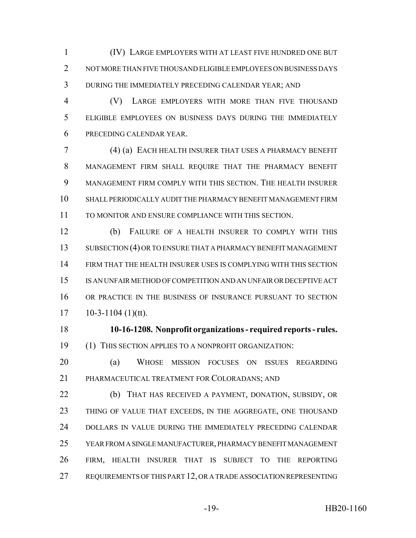(IV) LARGE EMPLOYERS WITH AT LEAST FIVE HUNDRED ONE BUT NOT MORE THAN FIVE THOUSAND ELIGIBLE EMPLOYEES ON BUSINESS DAYS DURING THE IMMEDIATELY PRECEDING CALENDAR YEAR; AND

 (V) LARGE EMPLOYERS WITH MORE THAN FIVE THOUSAND ELIGIBLE EMPLOYEES ON BUSINESS DAYS DURING THE IMMEDIATELY PRECEDING CALENDAR YEAR.

 (4) (a) EACH HEALTH INSURER THAT USES A PHARMACY BENEFIT MANAGEMENT FIRM SHALL REQUIRE THAT THE PHARMACY BENEFIT MANAGEMENT FIRM COMPLY WITH THIS SECTION. THE HEALTH INSURER SHALL PERIODICALLY AUDIT THE PHARMACY BENEFIT MANAGEMENT FIRM TO MONITOR AND ENSURE COMPLIANCE WITH THIS SECTION.

 (b) FAILURE OF A HEALTH INSURER TO COMPLY WITH THIS SUBSECTION (4) OR TO ENSURE THAT A PHARMACY BENEFIT MANAGEMENT FIRM THAT THE HEALTH INSURER USES IS COMPLYING WITH THIS SECTION IS AN UNFAIR METHOD OF COMPETITION AND AN UNFAIR OR DECEPTIVE ACT OR PRACTICE IN THE BUSINESS OF INSURANCE PURSUANT TO SECTION  $17 \qquad 10-3-1104 \; (1)(tt).$ 

 **10-16-1208. Nonprofit organizations - required reports - rules.** (1) THIS SECTION APPLIES TO A NONPROFIT ORGANIZATION:

 (a) WHOSE MISSION FOCUSES ON ISSUES REGARDING PHARMACEUTICAL TREATMENT FOR COLORADANS; AND

 (b) THAT HAS RECEIVED A PAYMENT, DONATION, SUBSIDY, OR THING OF VALUE THAT EXCEEDS, IN THE AGGREGATE, ONE THOUSAND DOLLARS IN VALUE DURING THE IMMEDIATELY PRECEDING CALENDAR YEAR FROM A SINGLE MANUFACTURER, PHARMACY BENEFIT MANAGEMENT FIRM, HEALTH INSURER THAT IS SUBJECT TO THE REPORTING REQUIREMENTS OF THIS PART 12, OR A TRADE ASSOCIATION REPRESENTING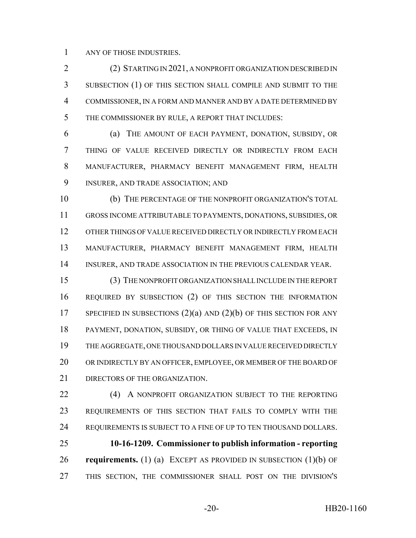ANY OF THOSE INDUSTRIES.

 (2) STARTING IN 2021, A NONPROFIT ORGANIZATION DESCRIBED IN SUBSECTION (1) OF THIS SECTION SHALL COMPILE AND SUBMIT TO THE COMMISSIONER, IN A FORM AND MANNER AND BY A DATE DETERMINED BY THE COMMISSIONER BY RULE, A REPORT THAT INCLUDES:

 (a) THE AMOUNT OF EACH PAYMENT, DONATION, SUBSIDY, OR THING OF VALUE RECEIVED DIRECTLY OR INDIRECTLY FROM EACH MANUFACTURER, PHARMACY BENEFIT MANAGEMENT FIRM, HEALTH INSURER, AND TRADE ASSOCIATION; AND

 (b) THE PERCENTAGE OF THE NONPROFIT ORGANIZATION'S TOTAL GROSS INCOME ATTRIBUTABLE TO PAYMENTS, DONATIONS, SUBSIDIES, OR OTHER THINGS OF VALUE RECEIVED DIRECTLY OR INDIRECTLY FROM EACH MANUFACTURER, PHARMACY BENEFIT MANAGEMENT FIRM, HEALTH INSURER, AND TRADE ASSOCIATION IN THE PREVIOUS CALENDAR YEAR.

 (3) THE NONPROFIT ORGANIZATION SHALL INCLUDE IN THE REPORT REQUIRED BY SUBSECTION (2) OF THIS SECTION THE INFORMATION 17 SPECIFIED IN SUBSECTIONS  $(2)(a)$  and  $(2)(b)$  of this section for any PAYMENT, DONATION, SUBSIDY, OR THING OF VALUE THAT EXCEEDS, IN THE AGGREGATE, ONE THOUSAND DOLLARS IN VALUE RECEIVED DIRECTLY OR INDIRECTLY BY AN OFFICER, EMPLOYEE, OR MEMBER OF THE BOARD OF 21 DIRECTORS OF THE ORGANIZATION.

22 (4) A NONPROFIT ORGANIZATION SUBJECT TO THE REPORTING REQUIREMENTS OF THIS SECTION THAT FAILS TO COMPLY WITH THE REQUIREMENTS IS SUBJECT TO A FINE OF UP TO TEN THOUSAND DOLLARS.

 **10-16-1209. Commissioner to publish information - reporting requirements.** (1) (a) EXCEPT AS PROVIDED IN SUBSECTION (1)(b) OF THIS SECTION, THE COMMISSIONER SHALL POST ON THE DIVISION'S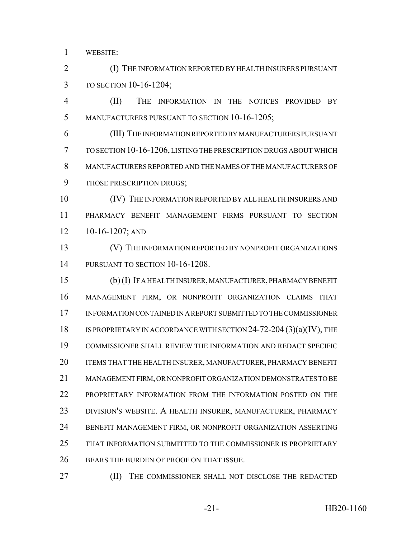WEBSITE:

 (I) THE INFORMATION REPORTED BY HEALTH INSURERS PURSUANT TO SECTION 10-16-1204;

 (II) THE INFORMATION IN THE NOTICES PROVIDED BY MANUFACTURERS PURSUANT TO SECTION 10-16-1205;

 (III) THE INFORMATION REPORTED BY MANUFACTURERS PURSUANT TO SECTION 10-16-1206, LISTING THE PRESCRIPTION DRUGS ABOUT WHICH MANUFACTURERS REPORTED AND THE NAMES OF THE MANUFACTURERS OF THOSE PRESCRIPTION DRUGS;

 (IV) THE INFORMATION REPORTED BY ALL HEALTH INSURERS AND PHARMACY BENEFIT MANAGEMENT FIRMS PURSUANT TO SECTION 10-16-1207; AND

 (V) THE INFORMATION REPORTED BY NONPROFIT ORGANIZATIONS PURSUANT TO SECTION 10-16-1208.

 (b) (I) IF A HEALTH INSURER, MANUFACTURER, PHARMACY BENEFIT MANAGEMENT FIRM, OR NONPROFIT ORGANIZATION CLAIMS THAT INFORMATION CONTAINED IN A REPORT SUBMITTED TO THE COMMISSIONER 18 IS PROPRIETARY IN ACCORDANCE WITH SECTION 24-72-204 (3)(a)(IV), THE COMMISSIONER SHALL REVIEW THE INFORMATION AND REDACT SPECIFIC 20 ITEMS THAT THE HEALTH INSURER, MANUFACTURER, PHARMACY BENEFIT MANAGEMENT FIRM, OR NONPROFIT ORGANIZATION DEMONSTRATES TO BE PROPRIETARY INFORMATION FROM THE INFORMATION POSTED ON THE DIVISION'S WEBSITE. A HEALTH INSURER, MANUFACTURER, PHARMACY BENEFIT MANAGEMENT FIRM, OR NONPROFIT ORGANIZATION ASSERTING THAT INFORMATION SUBMITTED TO THE COMMISSIONER IS PROPRIETARY BEARS THE BURDEN OF PROOF ON THAT ISSUE.

(II) THE COMMISSIONER SHALL NOT DISCLOSE THE REDACTED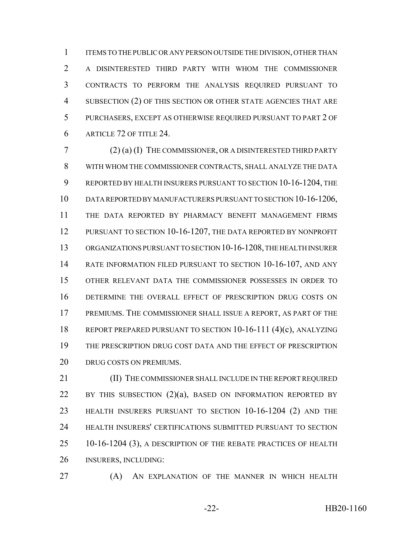ITEMS TO THE PUBLIC OR ANY PERSON OUTSIDE THE DIVISION, OTHER THAN A DISINTERESTED THIRD PARTY WITH WHOM THE COMMISSIONER CONTRACTS TO PERFORM THE ANALYSIS REQUIRED PURSUANT TO SUBSECTION (2) OF THIS SECTION OR OTHER STATE AGENCIES THAT ARE PURCHASERS, EXCEPT AS OTHERWISE REQUIRED PURSUANT TO PART 2 OF ARTICLE 72 OF TITLE 24.

 (2) (a) (I) THE COMMISSIONER, OR A DISINTERESTED THIRD PARTY WITH WHOM THE COMMISSIONER CONTRACTS, SHALL ANALYZE THE DATA REPORTED BY HEALTH INSURERS PURSUANT TO SECTION 10-16-1204, THE DATA REPORTED BY MANUFACTURERS PURSUANT TO SECTION 10-16-1206, THE DATA REPORTED BY PHARMACY BENEFIT MANAGEMENT FIRMS 12 PURSUANT TO SECTION 10-16-1207, THE DATA REPORTED BY NONPROFIT ORGANIZATIONS PURSUANT TO SECTION 10-16-1208, THE HEALTH INSURER RATE INFORMATION FILED PURSUANT TO SECTION 10-16-107, AND ANY OTHER RELEVANT DATA THE COMMISSIONER POSSESSES IN ORDER TO DETERMINE THE OVERALL EFFECT OF PRESCRIPTION DRUG COSTS ON PREMIUMS. THE COMMISSIONER SHALL ISSUE A REPORT, AS PART OF THE REPORT PREPARED PURSUANT TO SECTION 10-16-111 (4)(c), ANALYZING THE PRESCRIPTION DRUG COST DATA AND THE EFFECT OF PRESCRIPTION DRUG COSTS ON PREMIUMS.

21 (II) THE COMMISSIONER SHALL INCLUDE IN THE REPORT REQUIRED 22 BY THIS SUBSECTION  $(2)(a)$ , BASED ON INFORMATION REPORTED BY HEALTH INSURERS PURSUANT TO SECTION 10-16-1204 (2) AND THE HEALTH INSURERS' CERTIFICATIONS SUBMITTED PURSUANT TO SECTION 10-16-1204 (3), A DESCRIPTION OF THE REBATE PRACTICES OF HEALTH INSURERS, INCLUDING:

**(A)** AN EXPLANATION OF THE MANNER IN WHICH HEALTH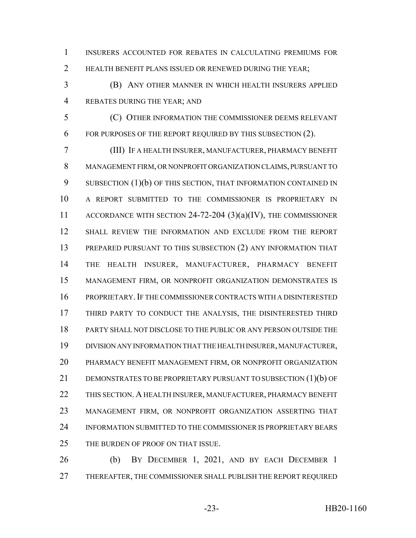INSURERS ACCOUNTED FOR REBATES IN CALCULATING PREMIUMS FOR HEALTH BENEFIT PLANS ISSUED OR RENEWED DURING THE YEAR;

 (B) ANY OTHER MANNER IN WHICH HEALTH INSURERS APPLIED REBATES DURING THE YEAR; AND

 (C) OTHER INFORMATION THE COMMISSIONER DEEMS RELEVANT FOR PURPOSES OF THE REPORT REQUIRED BY THIS SUBSECTION (2).

 (III) IF A HEALTH INSURER, MANUFACTURER, PHARMACY BENEFIT MANAGEMENT FIRM, OR NONPROFIT ORGANIZATION CLAIMS, PURSUANT TO 9 SUBSECTION (1)(b) OF THIS SECTION, THAT INFORMATION CONTAINED IN A REPORT SUBMITTED TO THE COMMISSIONER IS PROPRIETARY IN 11 ACCORDANCE WITH SECTION 24-72-204 (3)(a)(IV), THE COMMISSIONER SHALL REVIEW THE INFORMATION AND EXCLUDE FROM THE REPORT PREPARED PURSUANT TO THIS SUBSECTION (2) ANY INFORMATION THAT THE HEALTH INSURER, MANUFACTURER, PHARMACY BENEFIT MANAGEMENT FIRM, OR NONPROFIT ORGANIZATION DEMONSTRATES IS PROPRIETARY.IF THE COMMISSIONER CONTRACTS WITH A DISINTERESTED 17 THIRD PARTY TO CONDUCT THE ANALYSIS, THE DISINTERESTED THIRD PARTY SHALL NOT DISCLOSE TO THE PUBLIC OR ANY PERSON OUTSIDE THE DIVISION ANY INFORMATION THAT THE HEALTH INSURER, MANUFACTURER, PHARMACY BENEFIT MANAGEMENT FIRM, OR NONPROFIT ORGANIZATION 21 DEMONSTRATES TO BE PROPRIETARY PURSUANT TO SUBSECTION (1)(b) OF THIS SECTION. A HEALTH INSURER, MANUFACTURER, PHARMACY BENEFIT MANAGEMENT FIRM, OR NONPROFIT ORGANIZATION ASSERTING THAT INFORMATION SUBMITTED TO THE COMMISSIONER IS PROPRIETARY BEARS THE BURDEN OF PROOF ON THAT ISSUE.

 (b) BY DECEMBER 1, 2021, AND BY EACH DECEMBER 1 THEREAFTER, THE COMMISSIONER SHALL PUBLISH THE REPORT REQUIRED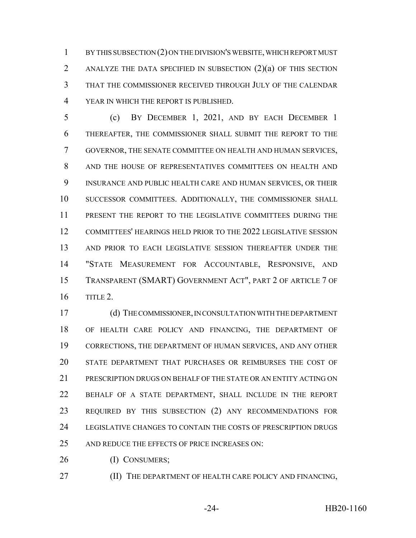BY THIS SUBSECTION (2) ON THE DIVISION'S WEBSITE, WHICH REPORT MUST ANALYZE THE DATA SPECIFIED IN SUBSECTION (2)(a) OF THIS SECTION THAT THE COMMISSIONER RECEIVED THROUGH JULY OF THE CALENDAR YEAR IN WHICH THE REPORT IS PUBLISHED.

 (c) BY DECEMBER 1, 2021, AND BY EACH DECEMBER 1 THEREAFTER, THE COMMISSIONER SHALL SUBMIT THE REPORT TO THE GOVERNOR, THE SENATE COMMITTEE ON HEALTH AND HUMAN SERVICES, AND THE HOUSE OF REPRESENTATIVES COMMITTEES ON HEALTH AND INSURANCE AND PUBLIC HEALTH CARE AND HUMAN SERVICES, OR THEIR SUCCESSOR COMMITTEES. ADDITIONALLY, THE COMMISSIONER SHALL PRESENT THE REPORT TO THE LEGISLATIVE COMMITTEES DURING THE COMMITTEES' HEARINGS HELD PRIOR TO THE 2022 LEGISLATIVE SESSION AND PRIOR TO EACH LEGISLATIVE SESSION THEREAFTER UNDER THE "STATE MEASUREMENT FOR ACCOUNTABLE, RESPONSIVE, AND TRANSPARENT (SMART) GOVERNMENT ACT", PART 2 OF ARTICLE 7 OF TITLE 2.

 (d) THE COMMISSIONER, IN CONSULTATION WITH THE DEPARTMENT OF HEALTH CARE POLICY AND FINANCING, THE DEPARTMENT OF CORRECTIONS, THE DEPARTMENT OF HUMAN SERVICES, AND ANY OTHER STATE DEPARTMENT THAT PURCHASES OR REIMBURSES THE COST OF PRESCRIPTION DRUGS ON BEHALF OF THE STATE OR AN ENTITY ACTING ON BEHALF OF A STATE DEPARTMENT, SHALL INCLUDE IN THE REPORT REQUIRED BY THIS SUBSECTION (2) ANY RECOMMENDATIONS FOR LEGISLATIVE CHANGES TO CONTAIN THE COSTS OF PRESCRIPTION DRUGS 25 AND REDUCE THE EFFECTS OF PRICE INCREASES ON:

26 (I) CONSUMERS;

**(II) THE DEPARTMENT OF HEALTH CARE POLICY AND FINANCING,**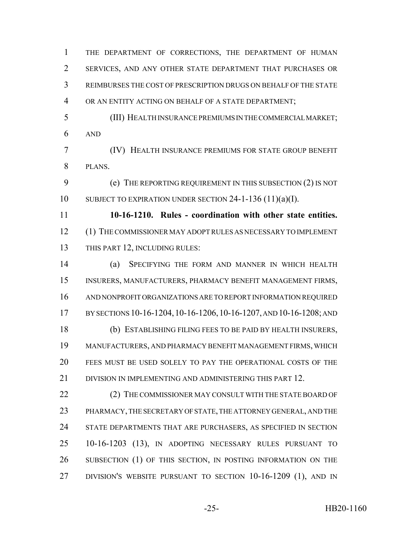REIMBURSES THE COST OF PRESCRIPTION DRUGS ON BEHALF OF THE STATE OR AN ENTITY ACTING ON BEHALF OF A STATE DEPARTMENT; (III) HEALTH INSURANCE PREMIUMS IN THE COMMERCIAL MARKET; AND (IV) HEALTH INSURANCE PREMIUMS FOR STATE GROUP BENEFIT PLANS. (e) THE REPORTING REQUIREMENT IN THIS SUBSECTION (2) IS NOT SUBJECT TO EXPIRATION UNDER SECTION 24-1-136 (11)(a)(I). **10-16-1210. Rules - coordination with other state entities.** (1) THE COMMISSIONER MAY ADOPT RULES AS NECESSARY TO IMPLEMENT THIS PART 12, INCLUDING RULES: (a) SPECIFYING THE FORM AND MANNER IN WHICH HEALTH INSURERS, MANUFACTURERS, PHARMACY BENEFIT MANAGEMENT FIRMS, AND NONPROFIT ORGANIZATIONS ARE TO REPORT INFORMATION REQUIRED BY SECTIONS 10-16-1204,10-16-1206,10-16-1207, AND 10-16-1208; AND (b) ESTABLISHING FILING FEES TO BE PAID BY HEALTH INSURERS, MANUFACTURERS, AND PHARMACY BENEFIT MANAGEMENT FIRMS, WHICH FEES MUST BE USED SOLELY TO PAY THE OPERATIONAL COSTS OF THE 21 DIVISION IN IMPLEMENTING AND ADMINISTERING THIS PART 12. 22 (2) THE COMMISSIONER MAY CONSULT WITH THE STATE BOARD OF PHARMACY, THE SECRETARY OF STATE, THE ATTORNEY GENERAL, AND THE STATE DEPARTMENTS THAT ARE PURCHASERS, AS SPECIFIED IN SECTION 10-16-1203 (13), IN ADOPTING NECESSARY RULES PURSUANT TO SUBSECTION (1) OF THIS SECTION, IN POSTING INFORMATION ON THE DIVISION'S WEBSITE PURSUANT TO SECTION 10-16-1209 (1), AND IN -25- HB20-1160

THE DEPARTMENT OF CORRECTIONS, THE DEPARTMENT OF HUMAN

SERVICES, AND ANY OTHER STATE DEPARTMENT THAT PURCHASES OR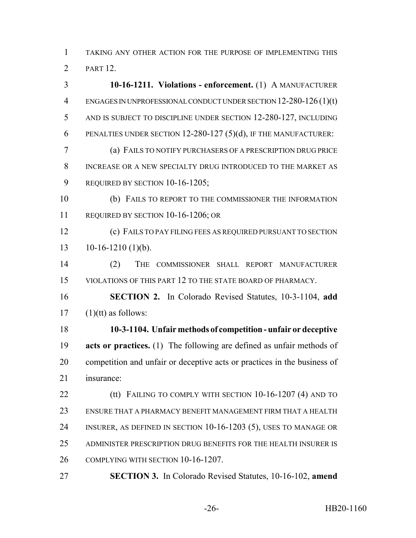TAKING ANY OTHER ACTION FOR THE PURPOSE OF IMPLEMENTING THIS PART 12.

 **10-16-1211. Violations - enforcement.** (1) A MANUFACTURER ENGAGES IN UNPROFESSIONAL CONDUCT UNDER SECTION 12-280-126 (1)(t) AND IS SUBJECT TO DISCIPLINE UNDER SECTION 12-280-127, INCLUDING PENALTIES UNDER SECTION 12-280-127 (5)(d), IF THE MANUFACTURER: (a) FAILS TO NOTIFY PURCHASERS OF A PRESCRIPTION DRUG PRICE INCREASE OR A NEW SPECIALTY DRUG INTRODUCED TO THE MARKET AS 9 REQUIRED BY SECTION 10-16-1205; (b) FAILS TO REPORT TO THE COMMISSIONER THE INFORMATION REQUIRED BY SECTION 10-16-1206; OR (c) FAILS TO PAY FILING FEES AS REQUIRED PURSUANT TO SECTION  $13 \t10-16-1210 \t(1)(b).$  (2) THE COMMISSIONER SHALL REPORT MANUFACTURER VIOLATIONS OF THIS PART 12 TO THE STATE BOARD OF PHARMACY. **SECTION 2.** In Colorado Revised Statutes, 10-3-1104, **add** (1)(tt) as follows: **10-3-1104. Unfair methods of competition - unfair or deceptive acts or practices.** (1) The following are defined as unfair methods of competition and unfair or deceptive acts or practices in the business of insurance: **(tt) FAILING TO COMPLY WITH SECTION 10-16-1207 (4) AND TO**  ENSURE THAT A PHARMACY BENEFIT MANAGEMENT FIRM THAT A HEALTH INSURER, AS DEFINED IN SECTION 10-16-1203 (5), USES TO MANAGE OR ADMINISTER PRESCRIPTION DRUG BENEFITS FOR THE HEALTH INSURER IS COMPLYING WITH SECTION 10-16-1207. **SECTION 3.** In Colorado Revised Statutes, 10-16-102, **amend**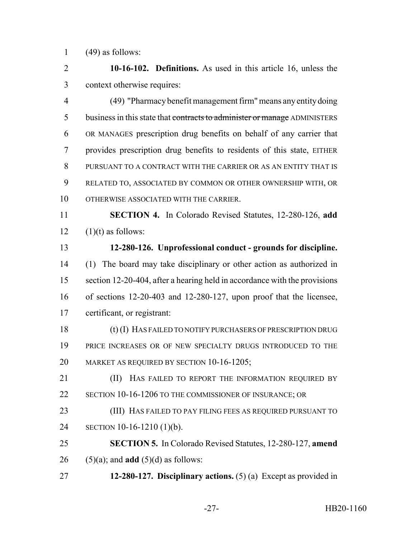1  $(49)$  as follows:

 **10-16-102. Definitions.** As used in this article 16, unless the context otherwise requires:

 (49) "Pharmacy benefit management firm" means any entity doing 5 business in this state that contracts to administer or manage ADMINISTERS OR MANAGES prescription drug benefits on behalf of any carrier that provides prescription drug benefits to residents of this state, EITHER PURSUANT TO A CONTRACT WITH THE CARRIER OR AS AN ENTITY THAT IS RELATED TO, ASSOCIATED BY COMMON OR OTHER OWNERSHIP WITH, OR OTHERWISE ASSOCIATED WITH THE CARRIER.

 **SECTION 4.** In Colorado Revised Statutes, 12-280-126, **add** 12  $(1)(t)$  as follows:

 **12-280-126. Unprofessional conduct - grounds for discipline.** (1) The board may take disciplinary or other action as authorized in section 12-20-404, after a hearing held in accordance with the provisions of sections 12-20-403 and 12-280-127, upon proof that the licensee, certificant, or registrant:

 (t) (I) HAS FAILED TO NOTIFY PURCHASERS OF PRESCRIPTION DRUG 19 PRICE INCREASES OR OF NEW SPECIALTY DRUGS INTRODUCED TO THE MARKET AS REQUIRED BY SECTION 10-16-1205;

**(II)** HAS FAILED TO REPORT THE INFORMATION REQUIRED BY 22 SECTION 10-16-1206 TO THE COMMISSIONER OF INSURANCE; OR

 (III) HAS FAILED TO PAY FILING FEES AS REQUIRED PURSUANT TO SECTION 10-16-1210 (1)(b).

 **SECTION 5.** In Colorado Revised Statutes, 12-280-127, **amend** (5)(a); and **add** (5)(d) as follows:

**12-280-127. Disciplinary actions.** (5) (a) Except as provided in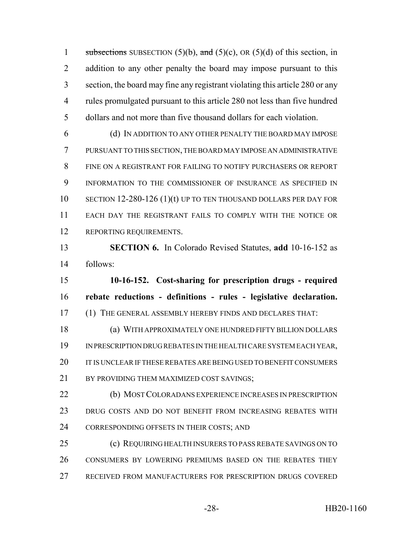1 subsections SUBSECTION (5)(b), and (5)(c), OR (5)(d) of this section, in 2 addition to any other penalty the board may impose pursuant to this section, the board may fine any registrant violating this article 280 or any rules promulgated pursuant to this article 280 not less than five hundred dollars and not more than five thousand dollars for each violation.

 (d) IN ADDITION TO ANY OTHER PENALTY THE BOARD MAY IMPOSE PURSUANT TO THIS SECTION, THE BOARD MAY IMPOSE AN ADMINISTRATIVE FINE ON A REGISTRANT FOR FAILING TO NOTIFY PURCHASERS OR REPORT INFORMATION TO THE COMMISSIONER OF INSURANCE AS SPECIFIED IN SECTION 12-280-126 (1)(t) UP TO TEN THOUSAND DOLLARS PER DAY FOR EACH DAY THE REGISTRANT FAILS TO COMPLY WITH THE NOTICE OR REPORTING REQUIREMENTS.

 **SECTION 6.** In Colorado Revised Statutes, **add** 10-16-152 as follows:

 **10-16-152. Cost-sharing for prescription drugs - required rebate reductions - definitions - rules - legislative declaration.** (1) THE GENERAL ASSEMBLY HEREBY FINDS AND DECLARES THAT:

 (a) WITH APPROXIMATELY ONE HUNDRED FIFTY BILLION DOLLARS IN PRESCRIPTION DRUG REBATES IN THE HEALTH CARE SYSTEM EACH YEAR, 20 IT IS UNCLEAR IF THESE REBATES ARE BEING USED TO BENEFIT CONSUMERS 21 BY PROVIDING THEM MAXIMIZED COST SAVINGS;

 (b) MOST COLORADANS EXPERIENCE INCREASES IN PRESCRIPTION DRUG COSTS AND DO NOT BENEFIT FROM INCREASING REBATES WITH CORRESPONDING OFFSETS IN THEIR COSTS; AND

 (c) REQUIRING HEALTH INSURERS TO PASS REBATE SAVINGS ON TO CONSUMERS BY LOWERING PREMIUMS BASED ON THE REBATES THEY RECEIVED FROM MANUFACTURERS FOR PRESCRIPTION DRUGS COVERED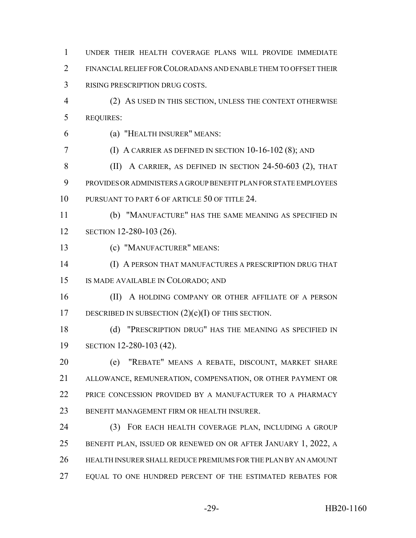UNDER THEIR HEALTH COVERAGE PLANS WILL PROVIDE IMMEDIATE FINANCIAL RELIEF FOR COLORADANS AND ENABLE THEM TO OFFSET THEIR RISING PRESCRIPTION DRUG COSTS.

 (2) AS USED IN THIS SECTION, UNLESS THE CONTEXT OTHERWISE REQUIRES:

(a) "HEALTH INSURER" MEANS:

(I) A CARRIER AS DEFINED IN SECTION 10-16-102 (8); AND

 (II) A CARRIER, AS DEFINED IN SECTION 24-50-603 (2), THAT PROVIDES OR ADMINISTERS A GROUP BENEFIT PLAN FOR STATE EMPLOYEES PURSUANT TO PART 6 OF ARTICLE 50 OF TITLE 24.

 (b) "MANUFACTURE" HAS THE SAME MEANING AS SPECIFIED IN SECTION 12-280-103 (26).

(c) "MANUFACTURER" MEANS:

 (I) A PERSON THAT MANUFACTURES A PRESCRIPTION DRUG THAT IS MADE AVAILABLE IN COLORADO; AND

16 (II) A HOLDING COMPANY OR OTHER AFFILIATE OF A PERSON 17 DESCRIBED IN SUBSECTION  $(2)(c)(I)$  OF THIS SECTION.

 (d) "PRESCRIPTION DRUG" HAS THE MEANING AS SPECIFIED IN SECTION 12-280-103 (42).

 (e) "REBATE" MEANS A REBATE, DISCOUNT, MARKET SHARE ALLOWANCE, REMUNERATION, COMPENSATION, OR OTHER PAYMENT OR PRICE CONCESSION PROVIDED BY A MANUFACTURER TO A PHARMACY BENEFIT MANAGEMENT FIRM OR HEALTH INSURER.

 (3) FOR EACH HEALTH COVERAGE PLAN, INCLUDING A GROUP BENEFIT PLAN, ISSUED OR RENEWED ON OR AFTER JANUARY 1, 2022, A HEALTH INSURER SHALL REDUCE PREMIUMS FOR THE PLAN BY AN AMOUNT 27 EQUAL TO ONE HUNDRED PERCENT OF THE ESTIMATED REBATES FOR